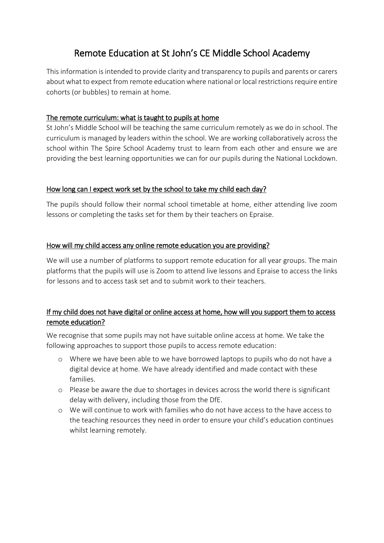# Remote Education at St John's CE Middle School Academy

This information is intended to provide clarity and transparency to pupils and parents or carers about what to expect from remote education where national or local restrictions require entire cohorts (or bubbles) to remain at home.

#### The remote curriculum: what is taught to pupils at home

St John's Middle School will be teaching the same curriculum remotely as we do in school. The curriculum is managed by leaders within the school. We are working collaboratively across the school within The Spire School Academy trust to learn from each other and ensure we are providing the best learning opportunities we can for our pupils during the National Lockdown.

#### How long can I expect work set by the school to take my child each day?

The pupils should follow their normal school timetable at home, either attending live zoom lessons or completing the tasks set for them by their teachers on Epraise.

#### How will my child access any online remote education you are providing?

We will use a number of platforms to support remote education for all year groups. The main platforms that the pupils will use is Zoom to attend live lessons and Epraise to access the links for lessons and to access task set and to submit work to their teachers.

# If my child does not have digital or online access at home, how will you support them to access remote education?

We recognise that some pupils may not have suitable online access at home. We take the following approaches to support those pupils to access remote education:

- o Where we have been able to we have borrowed laptops to pupils who do not have a digital device at home. We have already identified and made contact with these families.
- o Please be aware the due to shortages in devices across the world there is significant delay with delivery, including those from the DfE.
- o We will continue to work with families who do not have access to the have access to the teaching resources they need in order to ensure your child's education continues whilst learning remotely.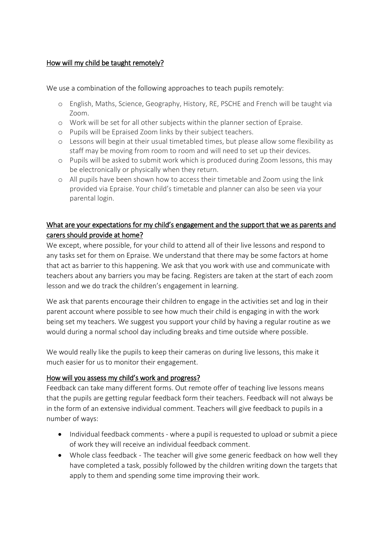#### How will my child be taught remotely?

We use a combination of the following approaches to teach pupils remotely:

- o English, Maths, Science, Geography, History, RE, PSCHE and French will be taught via Zoom.
- o Work will be set for all other subjects within the planner section of Epraise.
- o Pupils will be Epraised Zoom links by their subject teachers.
- o Lessons will begin at their usual timetabled times, but please allow some flexibility as staff may be moving from room to room and will need to set up their devices.
- o Pupils will be asked to submit work which is produced during Zoom lessons, this may be electronically or physically when they return.
- o All pupils have been shown how to access their timetable and Zoom using the link provided via Epraise. Your child's timetable and planner can also be seen via your parental login.

## What are your expectations for my child's engagement and the support that we as parents and carers should provide at home?

We except, where possible, for your child to attend all of their live lessons and respond to any tasks set for them on Epraise. We understand that there may be some factors at home that act as barrier to this happening. We ask that you work with use and communicate with teachers about any barriers you may be facing. Registers are taken at the start of each zoom lesson and we do track the children's engagement in learning.

We ask that parents encourage their children to engage in the activities set and log in their parent account where possible to see how much their child is engaging in with the work being set my teachers. We suggest you support your child by having a regular routine as we would during a normal school day including breaks and time outside where possible.

We would really like the pupils to keep their cameras on during live lessons, this make it much easier for us to monitor their engagement.

## How will you assess my child's work and progress?

Feedback can take many different forms. Out remote offer of teaching live lessons means that the pupils are getting regular feedback form their teachers. Feedback will not always be in the form of an extensive individual comment. Teachers will give feedback to pupils in a number of ways:

- Individual feedback comments where a pupil is requested to upload or submit a piece of work they will receive an individual feedback comment.
- Whole class feedback The teacher will give some generic feedback on how well they have completed a task, possibly followed by the children writing down the targets that apply to them and spending some time improving their work.